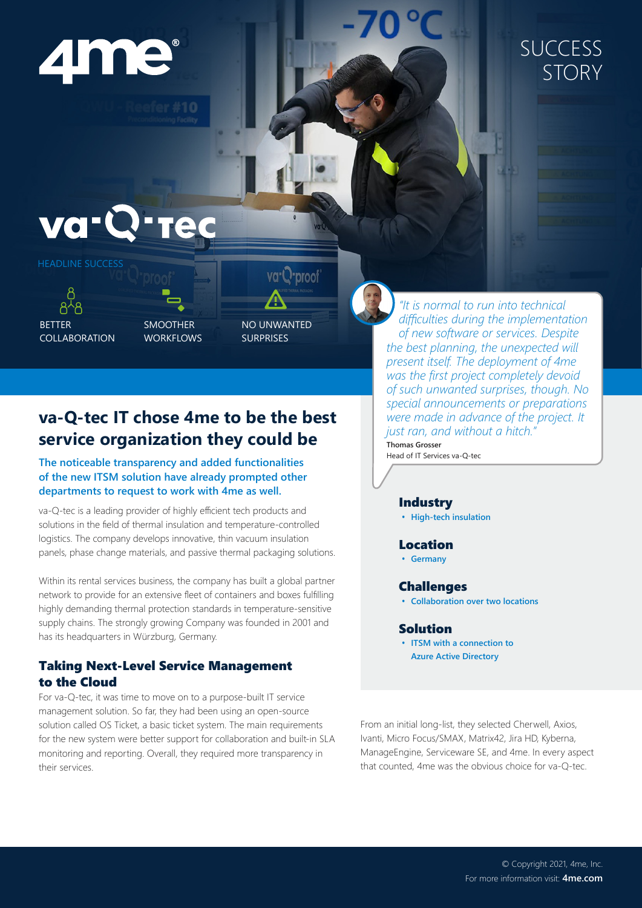

### **SUCCESS** STORY

## va-C



ጸ<sup>ኢ</sup>ጸ BETTER COLLABORATION

SMOOTHER WORKFLOWS

 $#10$ 

NO UNWANTED SURPRISES

va<sup>-</sup>Q-proof

### **va-Q-tec IT chose 4me to be the best service organization they could be**

#### **The noticeable transparency and added functionalities of the new ITSM solution have already prompted other departments to request to work with 4me as well.**

va-Q-tec is a leading provider of highly efficient tech products and solutions in the field of thermal insulation and temperature-controlled logistics. The company develops innovative, thin vacuum insulation panels, phase change materials, and passive thermal packaging solutions.

Within its rental services business, the company has built a global partner network to provide for an extensive fleet of containers and boxes fulfilling highly demanding thermal protection standards in temperature-sensitive supply chains. The strongly growing Company was founded in 2001 and has its headquarters in Würzburg, Germany.

#### Taking Next-Level Service Management to the Cloud

For va-Q-tec, it was time to move on to a purpose-built IT service management solution. So far, they had been using an open-source solution called OS Ticket, a basic ticket system. The main requirements for the new system were better support for collaboration and built-in SLA monitoring and reporting. Overall, they required more transparency in their services.

*"It is normal to run into technical difficulties during the implementation of new software or services. Despite the best planning, the unexpected will present itself. The deployment of 4me was the first project completely devoid of such unwanted surprises, though. No special announcements or preparations were made in advance of the project. It just ran, and without a hitch."*

**Thomas Grosser** Head of IT Services va-Q-tec

#### Industry

**• High-tech insulation**

#### Location

**• Germany**

#### **Challenges**

**• Collaboration over two locations**

#### Solution

**• ITSM with a connection to Azure Active Directory**

From an initial long-list, they selected Cherwell, Axios, Ivanti, Micro Focus/SMAX, Matrix42, Jira HD, Kyberna, ManageEngine, Serviceware SE, and 4me. In every aspect that counted, 4me was the obvious choice for va-Q-tec.